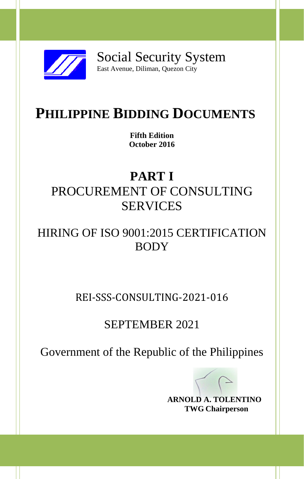

Social Security System East Avenue, Diliman, Quezon City

# **PHILIPPINE BIDDING DOCUMENTS**

**Fifth Edition October 2016**

# **PART I** PROCUREMENT OF CONSULTING SERVICES

## HIRING OF ISO 9001:2015 CERTIFICATION BODY

REI-SSS-CONSULTING-2021-016

### SEPTEMBER 2021

Government of the Republic of the Philippines

**ARNOLD A. TOLENTINO TWG Chairperson**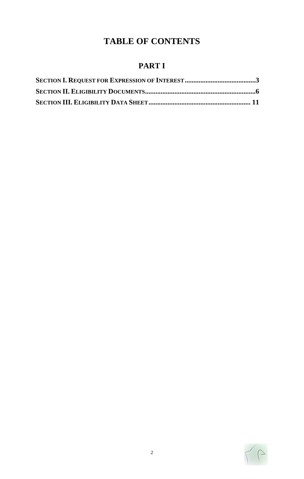### **TABLE OF CONTENTS**

### **PART I**

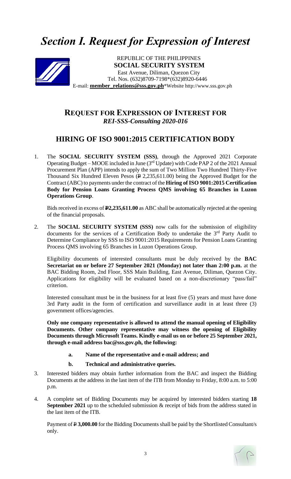## *Section I. Request for Expression of Interest*



**Tel. Nos. (632)8709-7198\*(632)8920-6446**<br> **Inter relations@sss.gov.ph\*Website.http://www.**  REPUBLIC OF THE PHILIPPINES **SOCIAL SECURITY SYSTEM** East Avenue, Diliman, Quezon City E-mail: **member\_relations@sss.gov.ph**\*Website http://www.sss.gov.ph

#### **REQUEST FOR EXPRESSION OF INTEREST FOR**  *REI-SSS-Consulting 2020-016*

#### **HIRING OF ISO 9001:2015 CERTIFICATION BODY**

1. The **SOCIAL SECURITY SYSTEM (SSS)**, through the Approved 2021 Corporate Operating Budget – MOOE included in June  $(3<sup>rd</sup>$  Update) with Code PAP 2 of the 2021 Annual Procurement Plan (APP) intends to apply the sum of Two Million Two Hundred Thirty-Five Thousand Six Hundred Eleven Pesos ( $\angle$  2,235,611.00) being the Approved Budget for the Contract (ABC) to payments under the contract of the **Hiring of ISO 9001:2015 Certification Body for Pension Loans Granting Process QMS involving 65 Branches in Luzon Operations Group**.

Bids received in excess of **P2,235,611.00** as ABC shall be automatically rejected at the opening of the financial proposals.

2. The **SOCIAL SECURITY SYSTEM (SSS)** now calls for the submission of eligibility documents for the services of a Certification Body to undertake the 3<sup>rd</sup> Party Audit to Determine Compliance by SSS to ISO 9001:2015 Requirements for Pension Loans Granting Process QMS involving 65 Branches in Luzon Operations Group.

Eligibility documents of interested consultants must be duly received by the **BAC Secretariat on or before 27 September 2021 (Monday) not later than 2:00 p.m.** at the BAC Bidding Room, 2nd Floor, SSS Main Building, East Avenue, Diliman, Quezon City. Applications for eligibility will be evaluated based on a non-discretionary "pass/fail" criterion.

Interested consultant must be in the business for at least five (5) years and must have done 3rd Party audit in the form of certification and surveillance audit in at least three (3) government offices/agencies.

**Only one company representative is allowed to attend the manual opening of Eligibility Documents. Other company representative may witness the opening of Eligibility Documents through Microsoft Teams. Kindly e-mail us on or before 25 September 2021, through e-mail address bac@sss.gov.ph, the following:**

- **a. Name of the representative and e-mail address; and**
- **b. Technical and administrative queries.**
- 3. Interested bidders may obtain further information from the BAC and inspect the Bidding Documents at the address in the last item of the ITB from Monday to Friday, 8:00 a.m. to 5:00 p.m.
- 4. A complete set of Bidding Documents may be acquired by interested bidders starting **18 September 2021** up to the scheduled submission  $\&$  receipt of bids from the address stated in the last item of the ITB.

Payment of  $\overline{P}$  3,000.00 for the Bidding Documents shall be paid by the Shortlisted Consultant/s only.

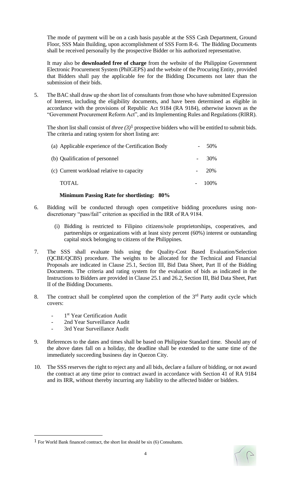The mode of payment will be on a cash basis payable at the SSS Cash Department, Ground Floor, SSS Main Building, upon accomplishment of SSS Form R-6. The Bidding Documents shall be received personally by the prospective Bidder or his authorized representative.

It may also be **downloaded free of charge** from the website of the Philippine Government Electronic Procurement System (PhilGEPS) and the website of the Procuring Entity*,* provided that Bidders shall pay the applicable fee for the Bidding Documents not later than the submission of their bids.

5. The BAC shall draw up the short list of consultants from those who have submitted Expression of Interest, including the eligibility documents, and have been determined as eligible in accordance with the provisions of Republic Act 9184 (RA 9184), otherwise known as the "Government Procurement Reform Act", and its Implementing Rules and Regulations (RIRR).

The short list shall consist of *three (3)*1 prospective bidders who will be entitled to submit bids. The criteria and rating system for short listing are:

| TOTAL                                               | $-100\%$ |
|-----------------------------------------------------|----------|
| (c) Current workload relative to capacity           | $-20\%$  |
| (b) Qualification of personnel                      | $-30\%$  |
| (a) Applicable experience of the Certification Body | 50%      |

#### **Minimum Passing Rate for shortlisting: 80%**

- 6. Bidding will be conducted through open competitive bidding procedures using nondiscretionary "pass/fail" criterion as specified in the IRR of RA 9184.
	- (i) Bidding is restricted to Filipino citizens/sole proprietorships, cooperatives, and partnerships or organizations with at least sixty percent (60%) interest or outstanding capital stock belonging to citizens of the Philippines.
- 7. The SSS shall evaluate bids using the Quality-Cost Based Evaluation/Selection (QCBE/QCBS) procedure. The weights to be allocated for the Technical and Financial Proposals are indicated in Clause 25.1, Section III, Bid Data Sheet, Part II of the Bidding Documents. The criteria and rating system for the evaluation of bids as indicated in the Instructions to Bidders are provided in Clause 25.1 and 26.2, Section III, Bid Data Sheet, Part II of the Bidding Documents.
- 8. The contract shall be completed upon the completion of the  $3<sup>rd</sup>$  Party audit cycle which covers:
	- *-* 1 st Year Certification Audit
	- *-* 2nd Year Surveillance Audit
	- *-* 3rd Year Surveillance Audit
- 9. References to the dates and times shall be based on Philippine Standard time. Should any of the above dates fall on a holiday, the deadline shall be extended to the same time of the immediately succeeding business day in Quezon City.
- 10. The SSS reserves the right to reject any and all bids, declare a failure of bidding, or not award the contract at any time prior to contract award in accordance with Section 41 of RA 9184 and its IRR, without thereby incurring any liability to the affected bidder or bidders.



<sup>&</sup>lt;sup>1</sup> For World Bank financed contract, the short list should be six  $(6)$  Consultants.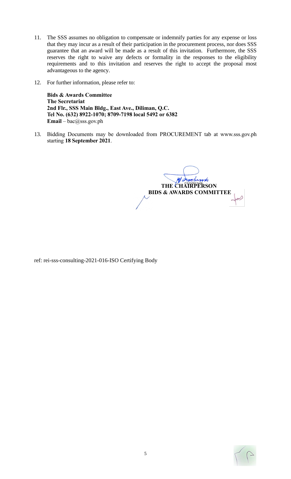- 11. The SSS assumes no obligation to compensate or indemnify parties for any expense or loss that they may incur as a result of their participation in the procurement process, nor does SSS guarantee that an award will be made as a result of this invitation. Furthermore, the SSS reserves the right to waive any defects or formality in the responses to the eligibility requirements and to this invitation and reserves the right to accept the proposal most advantageous to the agency.
- 12. For further information, please refer to:

**Bids & Awards Committee The Secretariat 2nd Flr., SSS Main Bldg., East Ave., Diliman, Q.C. Tel No. (632) 8922-1070; 8709-7198 local 5492 or 6382 Email** – bac@sss.gov.ph

13. Bidding Documents may be downloaded from PROCUREMENT tab at www.sss.gov.ph starting **18 September 2021**.

**THE CHAIRPERSON BIDS & AWARDS COMMITTEE**

ref: rei-sss-consulting-2021-016-ISO Certifying Body

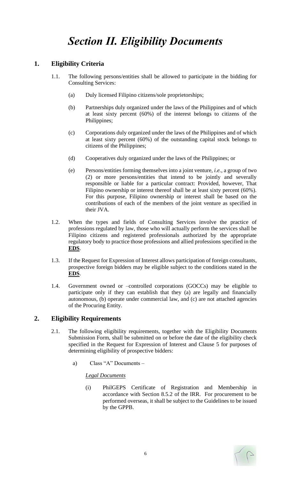#### **1. Eligibility Criteria**

- 1.1. The following persons/entities shall be allowed to participate in the bidding for Consulting Services:
	- (a) Duly licensed Filipino citizens/sole proprietorships;
	- (b) Partnerships duly organized under the laws of the Philippines and of which at least sixty percent (60%) of the interest belongs to citizens of the Philippines;
	- (c) Corporations duly organized under the laws of the Philippines and of which at least sixty percent (60%) of the outstanding capital stock belongs to citizens of the Philippines;
	- (d) Cooperatives duly organized under the laws of the Philippines; or
	- (e) Persons/entities forming themselves into a joint venture, *i.e.*, a group of two (2) or more persons/entities that intend to be jointly and severally responsible or liable for a particular contract: Provided, however, That Filipino ownership or interest thereof shall be at least sixty percent (60%). For this purpose, Filipino ownership or interest shall be based on the contributions of each of the members of the joint venture as specified in their JVA.
- 1.2. When the types and fields of Consulting Services involve the practice of professions regulated by law, those who will actually perform the services shall be Filipino citizens and registered professionals authorized by the appropriate regulatory body to practice those professions and allied professions specified in the **EDS**.
- 1.3. If the Request for Expression of Interest allows participation of foreign consultants, prospective foreign bidders may be eligible subject to the conditions stated in the **EDS**.
- 1.4. Government owned or –controlled corporations (GOCCs) may be eligible to participate only if they can establish that they (a) are legally and financially autonomous, (b) operate under commercial law, and (c) are not attached agencies of the Procuring Entity.

#### **2. Eligibility Requirements**

- 2.1. The following eligibility requirements, together with the Eligibility Documents Submission Form, shall be submitted on or before the date of the eligibility check specified in the Request for Expression of Interest and Clause 5 for purposes of determining eligibility of prospective bidders:
	- a) Class "A" Documents –

#### *Legal Documents*

(i) PhilGEPS Certificate of Registration and Membership in accordance with Section 8.5.2 of the IRR. For procurement to be performed overseas, it shall be subject to the Guidelines to be issued by the GPPB.

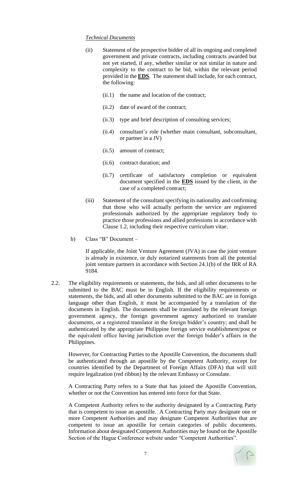#### *Technical Documents*

- (ii) Statement of the prospective bidder of all its ongoing and completed government and private contracts, including contracts awarded but not yet started, if any, whether similar or not similar in nature and complexity to the contract to be bid, within the relevant period provided in the **EDS**. The statement shall include, for each contract, the following:
	- (ii.1) the name and location of the contract;
	- (ii.2) date of award of the contract;
	- (ii.3) type and brief description of consulting services;
	- (ii.4) consultant's role (whether main consultant, subconsultant, or partner in a JV)
	- (ii.5) amount of contract;
	- (ii.6) contract duration; and
	- (ii.7) certificate of satisfactory completion or equivalent document specified in the **EDS** issued by the client, in the case of a completed contract;
- (iii) Statement of the consultant specifying its nationality and confirming that those who will actually perform the service are registered professionals authorized by the appropriate regulatory body to practice those professions and allied professions in accordance with Clause 1.2, including their respective curriculum vitae.
- b) Class "B" Document –

If applicable, the Joint Venture Agreement (JVA) in case the joint venture is already in existence, or duly notarized statements from all the potential joint venture partners in accordance with Section 24.1(b) of the IRR of RA 9184.

2.2. The eligibility requirements or statements, the bids, and all other documents to be submitted to the BAC must be in English. If the eligibility requirements or statements, the bids, and all other documents submitted to the BAC are in foreign language other than English, it must be accompanied by a translation of the documents in English. The documents shall be translated by the relevant foreign government agency, the foreign government agency authorized to translate documents, or a registered translator in the foreign bidder's country; and shall be authenticated by the appropriate Philippine foreign service establishment/post or the equivalent office having jurisdiction over the foreign bidder's affairs in the Philippines.

However, for Contracting Parties to the Apostille Convention, the documents shall be authenticated through an apostille by the Competent Authority, except for countries identified by the Department of Foreign Affairs (DFA) that will still require legalization (red ribbon) by the relevant Embassy or Consulate.

A Contracting Party refers to a State that has joined the Apostille Convention, whether or not the Convention has entered into force for that State.

A Competent Authority refers to the authority designated by a Contracting Party that is competent to issue an apostille. A Contracting Party may designate one or more Competent Authorities and may designate Competent Authorities that are competent to issue an apostille for certain categories of public documents. Information about designated Competent Authorities may be found on the Apostille Section of the Hague Conference website under "Competent Authorities".

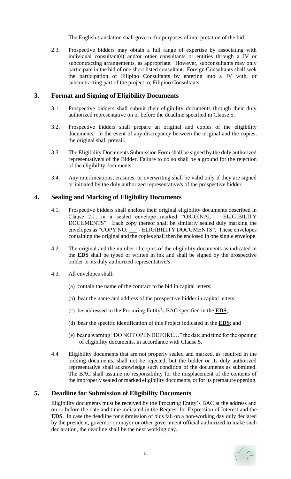The English translation shall govern, for purposes of interpretation of the bid.

2.3. Prospective bidders may obtain a full range of expertise by associating with individual consultant(s) and/or other consultants or entities through a JV or subcontracting arrangements, as appropriate. However, subconsultants may only participate in the bid of one short listed consultant. Foreign Consultants shall seek the participation of Filipino Consultants by entering into a JV with, or subcontracting part of the project to, Filipino Consultants.

#### **3. Format and Signing of Eligibility Documents**

- 3.1. Prospective bidders shall submit their eligibility documents through their duly authorized representative on or before the deadline specified in Clause 5.
- 3.2. Prospective bidders shall prepare an original and copies of the eligibility documents. In the event of any discrepancy between the original and the copies, the original shall prevail.
- 3.3. The Eligibility Documents Submission Form shall be signed by the duly authorized representative/s of the Bidder. Failure to do so shall be a ground for the rejection of the eligibility documents.
- 3.4. Any interlineations, erasures, or overwriting shall be valid only if they are signed or initialed by the duly authorized representative/s of the prospective bidder.

#### **4. Sealing and Marking of Eligibility Documents**

- 4.1. Prospective bidders shall enclose their original eligibility documents described in Clause 2.1, in a sealed envelope marked "ORIGINAL – ELIGIBILITY DOCUMENTS". Each copy thereof shall be similarly sealed duly marking the envelopes as "COPY NO. \_\_\_\_\_- ELIGIBILITY DOCUMENTS". These envelopes containing the original and the copies shall then be enclosed in one single envelope.
- 4.2. The original and the number of copies of the eligibility documents as indicated in the **EDS** shall be typed or written in ink and shall be signed by the prospective bidder or its duly authorized representative/s.
- 4.3. All envelopes shall:
	- (a) contain the name of the contract to be bid in capital letters;
	- (b) bear the name and address of the prospective bidder in capital letters;
	- (c) be addressed to the Procuring Entity's BAC specified in the **EDS**;
	- (d) bear the specific identification of this Project indicated in the **EDS**; and
	- (e) bear a warning "DO NOT OPEN BEFORE…" the date and time for the opening of eligibility documents, in accordance with Clause 5.
- 4.4 Eligibility documents that are not properly sealed and marked, as required in the bidding documents, shall not be rejected, but the bidder or its duly authorized representative shall acknowledge such condition of the documents as submitted. The BAC shall assume no responsibility for the misplacement of the contents of the improperly sealed or marked eligibility documents, or for its premature opening.

#### **5. Deadline for Submission of Eligibility Documents**

Eligibility documents must be received by the Procuring Entity's BAC at the address and on or before the date and time indicated in the Request for Expression of Interest and the **EDS**. In case the deadline for submission of bids fall on a non-working day duly declared by the president, governor or mayor or other government official authorized to make such declaration, the deadline shall be the next working day.

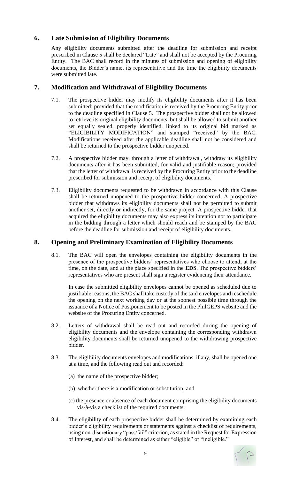#### **6. Late Submission of Eligibility Documents**

Any eligibility documents submitted after the deadline for submission and receipt prescribed in Clause 5 shall be declared "Late" and shall not be accepted by the Procuring Entity. The BAC shall record in the minutes of submission and opening of eligibility documents, the Bidder's name, its representative and the time the eligibility documents were submitted late.

#### **7. Modification and Withdrawal of Eligibility Documents**

- 7.1. The prospective bidder may modify its eligibility documents after it has been submitted; provided that the modification is received by the Procuring Entity prior to the deadline specified in Clause 5. The prospective bidder shall not be allowed to retrieve its original eligibility documents, but shall be allowed to submit another set equally sealed, properly identified, linked to its original bid marked as "ELIGIBILITY MODIFICATION" and stamped "received" by the BAC. Modifications received after the applicable deadline shall not be considered and shall be returned to the prospective bidder unopened.
- 7.2. A prospective bidder may, through a letter of withdrawal, withdraw its eligibility documents after it has been submitted, for valid and justifiable reason; provided that the letter of withdrawal is received by the Procuring Entity prior to the deadline prescribed for submission and receipt of eligibility documents.
- 7.3. Eligibility documents requested to be withdrawn in accordance with this Clause shall be returned unopened to the prospective bidder concerned. A prospective bidder that withdraws its eligibility documents shall not be permitted to submit another set, directly or indirectly, for the same project. A prospective bidder that acquired the eligibility documents may also express its intention not to participate in the bidding through a letter which should reach and be stamped by the BAC before the deadline for submission and receipt of eligibility documents.

#### **8. Opening and Preliminary Examination of Eligibility Documents**

8.1. The BAC will open the envelopes containing the eligibility documents in the presence of the prospective bidders' representatives who choose to attend, at the time, on the date, and at the place specified in the **EDS**. The prospective bidders' representatives who are present shall sign a register evidencing their attendance.

In case the submitted eligibility envelopes cannot be opened as scheduled due to justifiable reasons, the BAC shall take custody of the said envelopes and reschedule the opening on the next working day or at the soonest possible time through the issuance of a Notice of Postponement to be posted in the PhilGEPS website and the website of the Procuring Entity concerned.

- 8.2. Letters of withdrawal shall be read out and recorded during the opening of eligibility documents and the envelope containing the corresponding withdrawn eligibility documents shall be returned unopened to the withdrawing prospective bidder.
- 8.3. The eligibility documents envelopes and modifications, if any, shall be opened one at a time, and the following read out and recorded:
	- (a) the name of the prospective bidder;
	- (b) whether there is a modification or substitution; and
	- (c) the presence or absence of each document comprising the eligibility documents vis-à-vis a checklist of the required documents.
- 8.4. The eligibility of each prospective bidder shall be determined by examining each bidder's eligibility requirements or statements against a checklist of requirements, using non-discretionary "pass/fail" criterion, as stated in the Request for Expression of Interest, and shall be determined as either "eligible" or "ineligible."

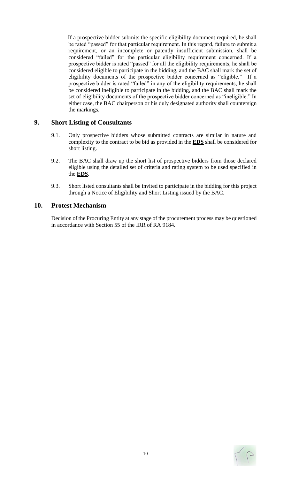If a prospective bidder submits the specific eligibility document required, he shall be rated "passed" for that particular requirement. In this regard, failure to submit a requirement, or an incomplete or patently insufficient submission, shall be considered "failed" for the particular eligibility requirement concerned. If a prospective bidder is rated "passed" for all the eligibility requirements, he shall be considered eligible to participate in the bidding, and the BAC shall mark the set of eligibility documents of the prospective bidder concerned as "eligible." If a prospective bidder is rated "failed" in any of the eligibility requirements, he shall be considered ineligible to participate in the bidding, and the BAC shall mark the set of eligibility documents of the prospective bidder concerned as "ineligible." In either case, the BAC chairperson or his duly designated authority shall countersign the markings.

#### **9. Short Listing of Consultants**

- 9.1. Only prospective bidders whose submitted contracts are similar in nature and complexity to the contract to be bid as provided in the **EDS** shall be considered for short listing.
- 9.2. The BAC shall draw up the short list of prospective bidders from those declared eligible using the detailed set of criteria and rating system to be used specified in the **EDS**.
- 9.3. Short listed consultants shall be invited to participate in the bidding for this project through a Notice of Eligibility and Short Listing issued by the BAC.

#### **10. Protest Mechanism**

Decision of the Procuring Entity at any stage of the procurement process may be questioned in accordance with Section 55 of the IRR of RA 9184.

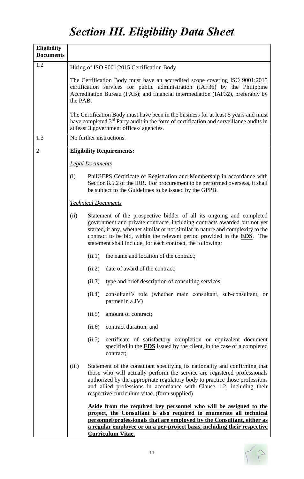# *Section III. Eligibility Data Sheet*

| <b>Eligibility</b><br><b>Documents</b> |                                                                                                                                                                                                                                                                                                                                                                                               |  |  |  |  |  |  |  |
|----------------------------------------|-----------------------------------------------------------------------------------------------------------------------------------------------------------------------------------------------------------------------------------------------------------------------------------------------------------------------------------------------------------------------------------------------|--|--|--|--|--|--|--|
| 1.2                                    | Hiring of ISO 9001:2015 Certification Body                                                                                                                                                                                                                                                                                                                                                    |  |  |  |  |  |  |  |
|                                        | The Certification Body must have an accredited scope covering ISO 9001:2015<br>certification services for public administration (IAF36) by the Philippine<br>Accreditation Bureau (PAB); and financial intermediation (IAF32), preferably by<br>the PAB.                                                                                                                                      |  |  |  |  |  |  |  |
|                                        | The Certification Body must have been in the business for at least 5 years and must<br>have completed 3 <sup>rd</sup> Party audit in the form of certification and surveillance audits in<br>at least 3 government offices/ agencies.                                                                                                                                                         |  |  |  |  |  |  |  |
| 1.3                                    | No further instructions.                                                                                                                                                                                                                                                                                                                                                                      |  |  |  |  |  |  |  |
| $\overline{2}$                         | <b>Eligibility Requirements:</b>                                                                                                                                                                                                                                                                                                                                                              |  |  |  |  |  |  |  |
|                                        | <b>Legal Documents</b>                                                                                                                                                                                                                                                                                                                                                                        |  |  |  |  |  |  |  |
|                                        | PhilGEPS Certificate of Registration and Membership in accordance with<br>(i)<br>Section 8.5.2 of the IRR. For procurement to be performed overseas, it shall<br>be subject to the Guidelines to be issued by the GPPB.                                                                                                                                                                       |  |  |  |  |  |  |  |
|                                        | <b>Technical Documents</b>                                                                                                                                                                                                                                                                                                                                                                    |  |  |  |  |  |  |  |
|                                        | Statement of the prospective bidder of all its ongoing and completed<br>(ii)<br>government and private contracts, including contracts awarded but not yet<br>started, if any, whether similar or not similar in nature and complexity to the<br>contract to be bid, within the relevant period provided in the <b>EDS</b> . The<br>statement shall include, for each contract, the following: |  |  |  |  |  |  |  |
|                                        | the name and location of the contract;<br>(ii.1)                                                                                                                                                                                                                                                                                                                                              |  |  |  |  |  |  |  |
|                                        | date of award of the contract;<br>(ii.2)                                                                                                                                                                                                                                                                                                                                                      |  |  |  |  |  |  |  |
|                                        | type and brief description of consulting services;<br>(ii.3)                                                                                                                                                                                                                                                                                                                                  |  |  |  |  |  |  |  |
|                                        | consultant's role (whether main consultant, sub-consultant, or<br>(ii.4)<br>partner in a JV)                                                                                                                                                                                                                                                                                                  |  |  |  |  |  |  |  |
|                                        | amount of contract;<br>(ii.5)                                                                                                                                                                                                                                                                                                                                                                 |  |  |  |  |  |  |  |
|                                        | contract duration; and<br>(ii.6)                                                                                                                                                                                                                                                                                                                                                              |  |  |  |  |  |  |  |
|                                        | certificate of satisfactory completion or equivalent document<br>(ii.7)<br>specified in the <b>EDS</b> issued by the client, in the case of a completed<br>contract;                                                                                                                                                                                                                          |  |  |  |  |  |  |  |
|                                        | Statement of the consultant specifying its nationality and confirming that<br>(iii)<br>those who will actually perform the service are registered professionals<br>authorized by the appropriate regulatory body to practice those professions<br>and allied professions in accordance with Clause 1.2, including their<br>respective curriculum vitae. (form supplied)                       |  |  |  |  |  |  |  |
|                                        | Aside from the required key personnel who will be assigned to the<br>project, the Consultant is also required to enumerate all technical<br>personnel/professionals that are employed by the Consultant, either as<br>a regular employee or on a per-project basis, including their respective<br><b>Curriculum Vitae.</b>                                                                    |  |  |  |  |  |  |  |

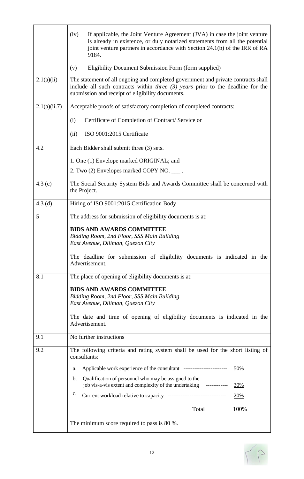|              | (iv)<br>If applicable, the Joint Venture Agreement (JVA) in case the joint venture<br>is already in existence, or duly notarized statements from all the potential<br>joint venture partners in accordance with Section 24.1(b) of the IRR of RA<br>9184. |  |  |  |  |  |  |  |  |
|--------------|-----------------------------------------------------------------------------------------------------------------------------------------------------------------------------------------------------------------------------------------------------------|--|--|--|--|--|--|--|--|
|              | Eligibility Document Submission Form (form supplied)<br>(v)                                                                                                                                                                                               |  |  |  |  |  |  |  |  |
| 2.1(a)(ii)   | The statement of all ongoing and completed government and private contracts shall<br>include all such contracts within <i>three</i> $(3)$ <i>years</i> prior to the deadline for the<br>submission and receipt of eligibility documents.                  |  |  |  |  |  |  |  |  |
| 2.1(a)(ii.7) | Acceptable proofs of satisfactory completion of completed contracts:                                                                                                                                                                                      |  |  |  |  |  |  |  |  |
|              | Certificate of Completion of Contract/Service or<br>(i)                                                                                                                                                                                                   |  |  |  |  |  |  |  |  |
|              | ISO 9001:2015 Certificate<br>(ii)                                                                                                                                                                                                                         |  |  |  |  |  |  |  |  |
| 4.2          | Each Bidder shall submit three (3) sets.                                                                                                                                                                                                                  |  |  |  |  |  |  |  |  |
|              | 1. One (1) Envelope marked ORIGINAL; and                                                                                                                                                                                                                  |  |  |  |  |  |  |  |  |
|              | 2. Two (2) Envelopes marked COPY NO. ____.                                                                                                                                                                                                                |  |  |  |  |  |  |  |  |
| 4.3 $(c)$    | The Social Security System Bids and Awards Committee shall be concerned with<br>the Project.                                                                                                                                                              |  |  |  |  |  |  |  |  |
| $4.3$ (d)    | Hiring of ISO 9001:2015 Certification Body                                                                                                                                                                                                                |  |  |  |  |  |  |  |  |
| 5            | The address for submission of eligibility documents is at:                                                                                                                                                                                                |  |  |  |  |  |  |  |  |
|              | <b>BIDS AND AWARDS COMMITTEE</b><br>Bidding Room, 2nd Floor, SSS Main Building<br>East Avenue, Diliman, Quezon City                                                                                                                                       |  |  |  |  |  |  |  |  |
|              | The deadline for submission of eligibility documents is indicated in the<br>Advertisement.                                                                                                                                                                |  |  |  |  |  |  |  |  |
| 8.1          | The place of opening of eligibility documents is at:                                                                                                                                                                                                      |  |  |  |  |  |  |  |  |
|              | <b>BIDS AND AWARDS COMMITTEE</b>                                                                                                                                                                                                                          |  |  |  |  |  |  |  |  |
|              | Bidding Room, 2nd Floor, SSS Main Building<br>East Avenue, Diliman, Quezon City                                                                                                                                                                           |  |  |  |  |  |  |  |  |
|              | The date and time of opening of eligibility documents is indicated in the<br>Advertisement.                                                                                                                                                               |  |  |  |  |  |  |  |  |
| 9.1          | No further instructions                                                                                                                                                                                                                                   |  |  |  |  |  |  |  |  |
| 9.2          | The following criteria and rating system shall be used for the short listing of<br>consultants:                                                                                                                                                           |  |  |  |  |  |  |  |  |
|              | 50%<br>a.                                                                                                                                                                                                                                                 |  |  |  |  |  |  |  |  |
|              | Qualification of personnel who may be assigned to the<br>b.<br>job vis-a-vis extent and complexity of the undertaking ------------<br>30%                                                                                                                 |  |  |  |  |  |  |  |  |
|              | c.<br>Current workload relative to capacity ----------------------------------<br>20%                                                                                                                                                                     |  |  |  |  |  |  |  |  |
|              | 100%<br>Total                                                                                                                                                                                                                                             |  |  |  |  |  |  |  |  |
|              | The minimum score required to pass is 80 %.                                                                                                                                                                                                               |  |  |  |  |  |  |  |  |

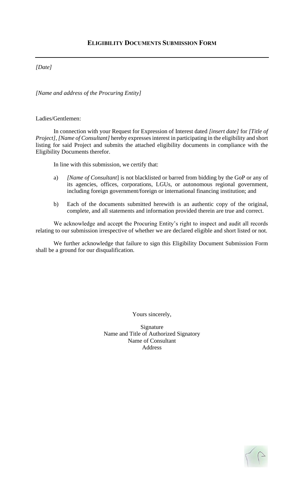#### *[Date]*

*[Name and address of the Procuring Entity]*

Ladies/Gentlemen:

In connection with your Request for Expression of Interest dated *[insert date]* for *[Title of Project]*, *[Name of Consultant]* hereby expresses interest in participating in the eligibility and short listing for said Project and submits the attached eligibility documents in compliance with the Eligibility Documents therefor.

In line with this submission, we certify that:

- a) *[Name of Consultant*] is not blacklisted or barred from bidding by the GoP or any of its agencies, offices, corporations, LGUs, or autonomous regional government, including foreign government/foreign or international financing institution; and
- b) Each of the documents submitted herewith is an authentic copy of the original, complete, and all statements and information provided therein are true and correct.

We acknowledge and accept the Procuring Entity's right to inspect and audit all records relating to our submission irrespective of whether we are declared eligible and short listed or not.

We further acknowledge that failure to sign this Eligibility Document Submission Form shall be a ground for our disqualification.

Yours sincerely,

Signature Name and Title of Authorized Signatory Name of Consultant Address

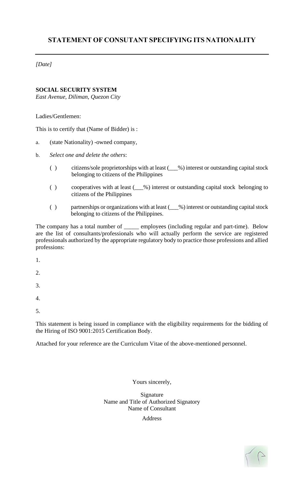*[Date]*

#### **SOCIAL SECURITY SYSTEM**

*East Avenue, Diliman, Quezon City*

Ladies/Gentlemen:

This is to certify that (Name of Bidder) is :

- a. (state Nationality) -owned company,
- b. *Select one and delete the others*:
	- () citizens/sole proprietorships with at least ( $\_\%$ ) interest or outstanding capital stock belonging to citizens of the Philippines
	- ( ) cooperatives with at least (\_\_\_%) interest or outstanding capital stock belonging to citizens of the Philippines
	- () partnerships or organizations with at least  $($ \_ %) interest or outstanding capital stock belonging to citizens of the Philippines.

The company has a total number of \_\_\_\_\_ employees (including regular and part-time). Below are the list of consultants/professionals who will actually perform the service are registered professionals authorized by the appropriate regulatory body to practice those professions and allied professions:

1.

2.

3.

4.

- 
- 5.

This statement is being issued in compliance with the eligibility requirements for the bidding of the Hiring of ISO 9001:2015 Certification Body.

Attached for your reference are the Curriculum Vitae of the above-mentioned personnel.

Yours sincerely,

Signature Name and Title of Authorized Signatory Name of Consultant

Address

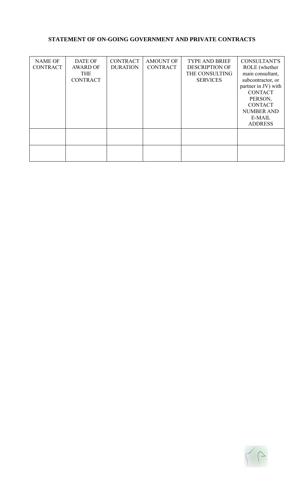#### **STATEMENT OF ON-GOING GOVERNMENT AND PRIVATE CONTRACTS**

| <b>NAME OF</b><br><b>CONTRACT</b> | <b>DATE OF</b><br><b>AWARD OF</b><br><b>THE</b><br><b>CONTRACT</b> | <b>CONTRACT</b><br><b>DURATION</b> | <b>AMOUNT OF</b><br><b>CONTRACT</b> | <b>TYPE AND BRIEF</b><br><b>DESCRIPTION OF</b><br>THE CONSULTING<br><b>SERVICES</b> | <b>CONSULTANT'S</b><br>ROLE (whether<br>main consultant,<br>subcontractor, or<br>partner in JV) with<br><b>CONTACT</b><br>PERSON,<br><b>CONTACT</b><br><b>NUMBER AND</b><br>E-MAIL<br><b>ADDRESS</b> |
|-----------------------------------|--------------------------------------------------------------------|------------------------------------|-------------------------------------|-------------------------------------------------------------------------------------|------------------------------------------------------------------------------------------------------------------------------------------------------------------------------------------------------|
|                                   |                                                                    |                                    |                                     |                                                                                     |                                                                                                                                                                                                      |

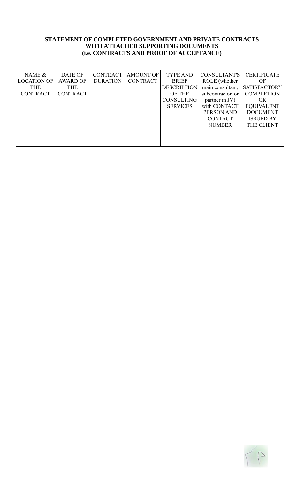#### **STATEMENT OF COMPLETED GOVERNMENT AND PRIVATE CONTRACTS WITH ATTACHED SUPPORTING DOCUMENTS (i.e. CONTRACTS AND PROOF OF ACCEPTANCE)**

| NAME &             | DATE OF         | CONTRACT        | <b>AMOUNT OF</b> | <b>TYPE AND</b>    | CONSULTANT'S      | <b>CERTIFICATE</b>  |
|--------------------|-----------------|-----------------|------------------|--------------------|-------------------|---------------------|
| <b>LOCATION OF</b> | <b>AWARD OF</b> | <b>DURATION</b> | <b>CONTRACT</b>  | <b>BRIEF</b>       | ROLE (whether     | OF                  |
| <b>THE</b>         | <b>THE</b>      |                 |                  | <b>DESCRIPTION</b> | main consultant,  | <b>SATISFACTORY</b> |
| <b>CONTRACT</b>    | <b>CONTRACT</b> |                 |                  | OF THE             | subcontractor, or | <b>COMPLETION</b>   |
|                    |                 |                 |                  | <b>CONSULTING</b>  | partner in JV)    | <b>OR</b>           |
|                    |                 |                 |                  | <b>SERVICES</b>    | with CONTACT      | <b>EQUIVALENT</b>   |
|                    |                 |                 |                  |                    | PERSON AND        | <b>DOCUMENT</b>     |
|                    |                 |                 |                  |                    | <b>CONTACT</b>    | <b>ISSUED BY</b>    |
|                    |                 |                 |                  |                    | <b>NUMBER</b>     | THE CLIENT          |
|                    |                 |                 |                  |                    |                   |                     |
|                    |                 |                 |                  |                    |                   |                     |
|                    |                 |                 |                  |                    |                   |                     |

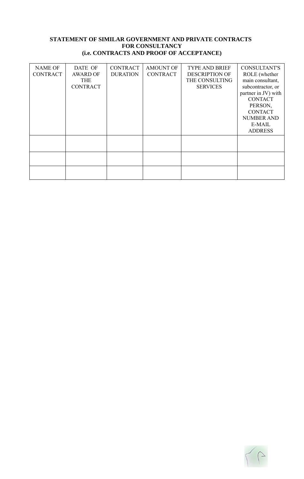#### **STATEMENT OF SIMILAR GOVERNMENT AND PRIVATE CONTRACTS FOR CONSULTANCY (i.e. CONTRACTS AND PROOF OF ACCEPTANCE)**

| <b>NAME OF</b><br><b>CONTRACT</b> | DATE OF<br><b>AWARD OF</b><br><b>THE</b><br><b>CONTRACT</b> | <b>CONTRACT</b><br><b>DURATION</b> | <b>AMOUNT OF</b><br><b>CONTRACT</b> | <b>TYPE AND BRIEF</b><br><b>DESCRIPTION OF</b><br>THE CONSULTING<br><b>SERVICES</b> | <b>CONSULTANT'S</b><br>ROLE (whether<br>main consultant,<br>subcontractor, or<br>partner in JV) with<br><b>CONTACT</b><br>PERSON,<br><b>CONTACT</b><br><b>NUMBER AND</b><br>E-MAIL<br><b>ADDRESS</b> |
|-----------------------------------|-------------------------------------------------------------|------------------------------------|-------------------------------------|-------------------------------------------------------------------------------------|------------------------------------------------------------------------------------------------------------------------------------------------------------------------------------------------------|
|                                   |                                                             |                                    |                                     |                                                                                     |                                                                                                                                                                                                      |
|                                   |                                                             |                                    |                                     |                                                                                     |                                                                                                                                                                                                      |
|                                   |                                                             |                                    |                                     |                                                                                     |                                                                                                                                                                                                      |